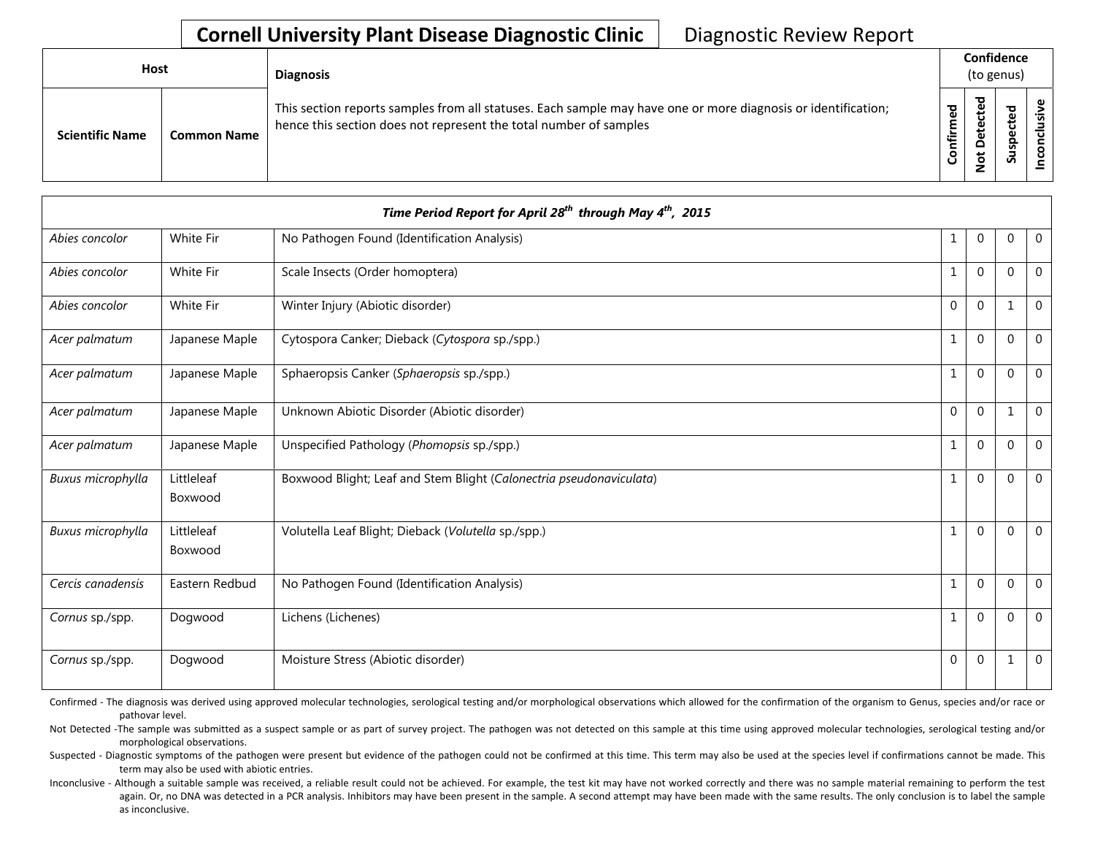| <b>Host</b>            |                    | <b>Diagnosis</b>                                                                                                                                                                   |                      | Confidence<br>(to genus)                    |                          |   |  |
|------------------------|--------------------|------------------------------------------------------------------------------------------------------------------------------------------------------------------------------------|----------------------|---------------------------------------------|--------------------------|---|--|
| <b>Scientific Name</b> | <b>Common Name</b> | This section reports samples from all statuses. Each sample may have one or more diagnosis or identification;<br>hence this section does not represent the total number of samples | შ<br>ზ<br>Ě<br>onfir | ᅙ<br>$\mathbf \omega$<br>پ<br>t<br><u>۽</u> | ᇃ<br>سد<br>ဒ္ဓ<br>∍<br>Ū | ω |  |

| Time Period Report for April 28 <sup>th</sup> through May 4 <sup>th</sup> , 2015 |                       |                                                                     |              |                |              |                |  |  |  |
|----------------------------------------------------------------------------------|-----------------------|---------------------------------------------------------------------|--------------|----------------|--------------|----------------|--|--|--|
| Abies concolor                                                                   | White Fir             | No Pathogen Found (Identification Analysis)                         | 1            | 0              | $\mathbf 0$  | $\mathbf 0$    |  |  |  |
| Abies concolor                                                                   | White Fir             | Scale Insects (Order homoptera)                                     | $\mathbf{1}$ | $\Omega$       | $\Omega$     | $\mathbf{0}$   |  |  |  |
| Abies concolor                                                                   | White Fir             | Winter Injury (Abiotic disorder)                                    | $\Omega$     | $\theta$       | $\mathbf{1}$ | $\mathbf 0$    |  |  |  |
| Acer palmatum                                                                    | Japanese Maple        | Cytospora Canker; Dieback (Cytospora sp./spp.)                      | $\mathbf{1}$ | $\Omega$       | $\Omega$     | $\Omega$       |  |  |  |
| Acer palmatum                                                                    | Japanese Maple        | Sphaeropsis Canker (Sphaeropsis sp./spp.)                           | $\mathbf{1}$ | $\Omega$       | $\Omega$     | $\overline{0}$ |  |  |  |
| Acer palmatum                                                                    | Japanese Maple        | Unknown Abiotic Disorder (Abiotic disorder)                         | $\Omega$     | $\Omega$       | 1            | $\mathbf{0}$   |  |  |  |
| Acer palmatum                                                                    | Japanese Maple        | Unspecified Pathology (Phomopsis sp./spp.)                          | $\mathbf{1}$ | $\Omega$       | $\Omega$     | $\mathbf{0}$   |  |  |  |
| Buxus microphylla                                                                | Littleleaf<br>Boxwood | Boxwood Blight; Leaf and Stem Blight (Calonectria pseudonaviculata) | $\mathbf{1}$ | $\Omega$       | $\Omega$     | $\mathbf 0$    |  |  |  |
| Buxus microphylla                                                                | Littleleaf<br>Boxwood | Volutella Leaf Blight; Dieback (Volutella sp./spp.)                 | $\mathbf{1}$ | $\Omega$       | $\mathbf 0$  | $\overline{0}$ |  |  |  |
| Cercis canadensis                                                                | Eastern Redbud        | No Pathogen Found (Identification Analysis)                         | $\mathbf{1}$ | $\Omega$       | $\mathbf{0}$ | $\mathbf 0$    |  |  |  |
| Cornus sp./spp.                                                                  | Dogwood               | Lichens (Lichenes)                                                  | 1            | $\Omega$       | $\Omega$     | $\mathbf{0}$   |  |  |  |
| Cornus sp./spp.                                                                  | Dogwood               | Moisture Stress (Abiotic disorder)                                  | $\Omega$     | $\overline{0}$ | 1            | $\mathbf{0}$   |  |  |  |

Confirmed - The diagnosis was derived using approved molecular technologies, serological testing and/or morphological observations which allowed for the confirmation of the organism to Genus, species and/or race or pathovar level.

Not Detected -The sample was submitted as a suspect sample or as part of survey project. The pathogen was not detected on this sample at this time using approved molecular technologies, serological testing and/or morphological observations.

Suspected - Diagnostic symptoms of the pathogen were present but evidence of the pathogen could not be confirmed at this time. This term may also be used at the species level if confirmations cannot be made. This term may also be used with abiotic entries.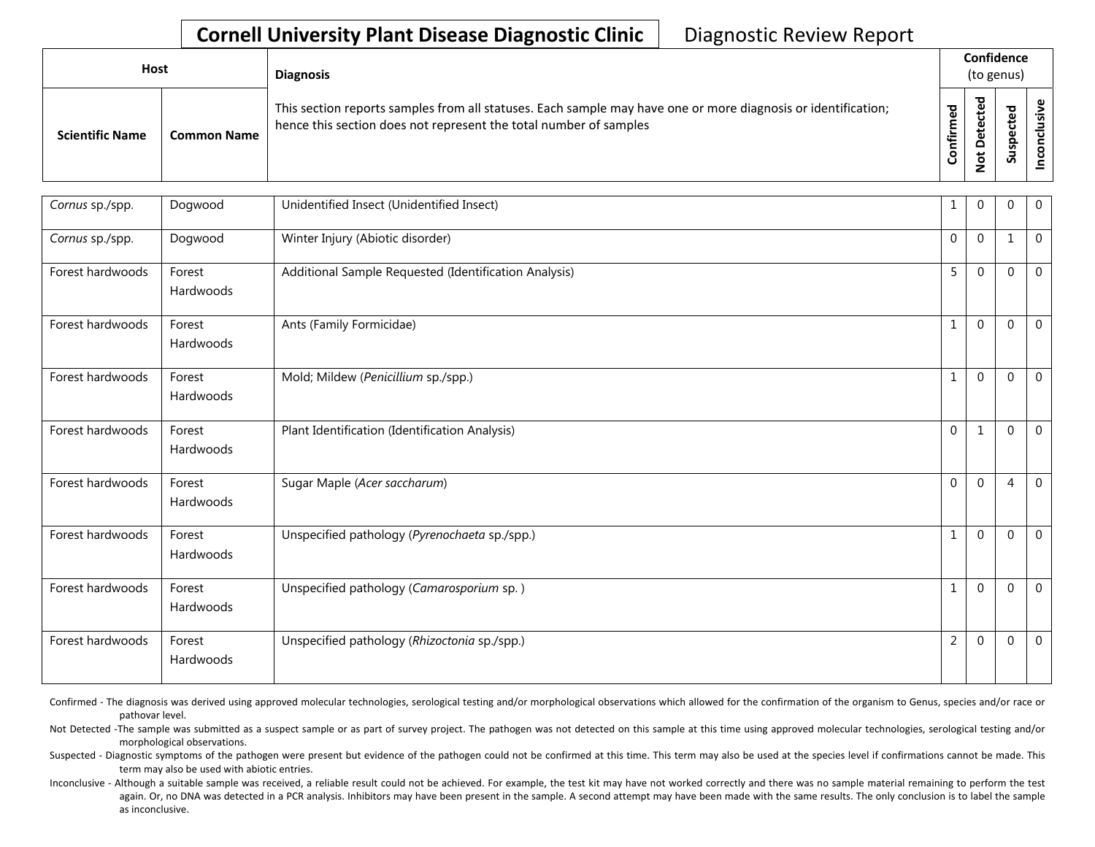| <b>Host</b>            |                    | <b>Diagnosis</b>                                                                                                                                                                   |                 | Confidence<br>(to genus)                      |                                                     |  |
|------------------------|--------------------|------------------------------------------------------------------------------------------------------------------------------------------------------------------------------------|-----------------|-----------------------------------------------|-----------------------------------------------------|--|
| <b>Scientific Name</b> | <b>Common Name</b> | This section reports samples from all statuses. Each sample may have one or more diagnosis or identification;<br>hence this section does not represent the total number of samples | ᄝ<br>Ē<br>onfir | ᇴ<br>cte<br>Φ<br>ã<br>۵<br>پ<br>$\frac{9}{5}$ | ठ<br>요<br>ن<br>$\mathbf \omega$<br>௨<br>ഗ<br>ے<br>S |  |

| Cornus sp./spp.  | Dogwood             | Unidentified Insect (Unidentified Insect)             | 1              | $\Omega$       | $\Omega$     | $\overline{0}$ |
|------------------|---------------------|-------------------------------------------------------|----------------|----------------|--------------|----------------|
| Cornus sp./spp.  | Dogwood             | Winter Injury (Abiotic disorder)                      | 0              | $\overline{0}$ | $\mathbf 1$  | $\mathbf 0$    |
| Forest hardwoods | Forest<br>Hardwoods | Additional Sample Requested (Identification Analysis) | 5              | $\Omega$       | $\mathbf{0}$ | $\mathbf 0$    |
| Forest hardwoods | Forest<br>Hardwoods | Ants (Family Formicidae)                              | $\mathbf{1}$   | $\Omega$       | $\Omega$     | $\overline{0}$ |
| Forest hardwoods | Forest<br>Hardwoods | Mold; Mildew (Penicillium sp./spp.)                   | $\mathbf{1}$   | $\Omega$       | $\mathbf{0}$ | $\overline{0}$ |
| Forest hardwoods | Forest<br>Hardwoods | Plant Identification (Identification Analysis)        | $\Omega$       | -1             | $\mathbf{0}$ | $\mathbf 0$    |
| Forest hardwoods | Forest<br>Hardwoods | Sugar Maple (Acer saccharum)                          | $\Omega$       | $\Omega$       | 4            | $\mathbf 0$    |
| Forest hardwoods | Forest<br>Hardwoods | Unspecified pathology (Pyrenochaeta sp./spp.)         | 1              | $\Omega$       | $\mathbf{0}$ | $\mathbf 0$    |
| Forest hardwoods | Forest<br>Hardwoods | Unspecified pathology (Camarosporium sp.)             | 1              | $\Omega$       | $\mathbf{0}$ | $\overline{0}$ |
| Forest hardwoods | Forest<br>Hardwoods | Unspecified pathology (Rhizoctonia sp./spp.)          | $\overline{2}$ | $\Omega$       | $\mathbf{0}$ | $\mathbf 0$    |

Confirmed - The diagnosis was derived using approved molecular technologies, serological testing and/or morphological observations which allowed for the confirmation of the organism to Genus, species and/or race or pathovar level.

Not Detected -The sample was submitted as a suspect sample or as part of survey project. The pathogen was not detected on this sample at this time using approved molecular technologies, serological testing and/or morphological observations.

Suspected - Diagnostic symptoms of the pathogen were present but evidence of the pathogen could not be confirmed at this time. This term may also be used at the species level if confirmations cannot be made. This term may also be used with abiotic entries.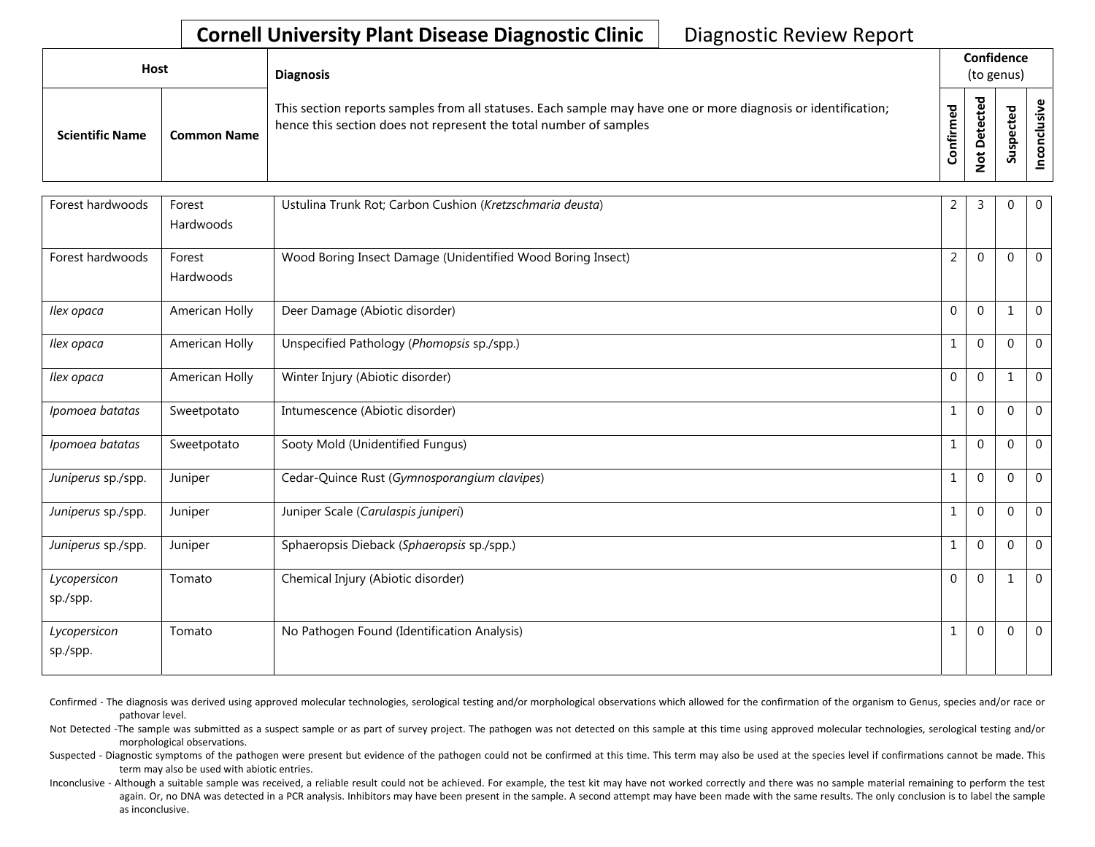| <b>Host</b>            |                    | <b>Diagnosis</b>                                                                                                                                                                   |          | Confidence<br>(to genus)      |                                  |        |  |  |
|------------------------|--------------------|------------------------------------------------------------------------------------------------------------------------------------------------------------------------------------|----------|-------------------------------|----------------------------------|--------|--|--|
| <b>Scientific Name</b> | <b>Common Name</b> | This section reports samples from all statuses. Each sample may have one or more diagnosis or identification;<br>hence this section does not represent the total number of samples | ਠ<br>tir | ᇃ<br>Φ<br>ዴ<br>پ<br>$\dot{S}$ | ᠊ᠣ<br>Φ<br>ω<br>으<br>൧<br>۔<br>S | š<br>ပ |  |  |

| Forest hardwoods   | Forest<br>Hardwoods | Ustulina Trunk Rot; Carbon Cushion (Kretzschmaria deusta)   | $\overline{2}$ | 3              | $\mathbf 0$  | 0                |
|--------------------|---------------------|-------------------------------------------------------------|----------------|----------------|--------------|------------------|
|                    |                     |                                                             |                |                |              |                  |
| Forest hardwoods   | Forest              | Wood Boring Insect Damage (Unidentified Wood Boring Insect) | $\overline{2}$ | $\Omega$       | $\mathbf{0}$ | $\overline{0}$   |
|                    | Hardwoods           |                                                             |                |                |              |                  |
| Ilex opaca         | American Holly      | Deer Damage (Abiotic disorder)                              | $\overline{0}$ | $\overline{0}$ | 1            | $\boldsymbol{0}$ |
| Ilex opaca         | American Holly      | Unspecified Pathology (Phomopsis sp./spp.)                  | $\mathbf{1}$   | $\Omega$       | $\mathbf{0}$ | $\mathbf 0$      |
| Ilex opaca         | American Holly      | Winter Injury (Abiotic disorder)                            | $\mathbf{0}$   | $\mathbf{0}$   | 1            | $\boldsymbol{0}$ |
| Ipomoea batatas    | Sweetpotato         | Intumescence (Abiotic disorder)                             | $\mathbf{1}$   | $\mathbf 0$    | $\mathbf{0}$ | $\mathbf 0$      |
| Ipomoea batatas    | Sweetpotato         | Sooty Mold (Unidentified Fungus)                            | 1              | $\overline{0}$ | 0            | $\mathbf 0$      |
| Juniperus sp./spp. | Juniper             | Cedar-Quince Rust (Gymnosporangium clavipes)                | $\mathbf{1}$   | $\Omega$       | $\Omega$     | $\mathbf 0$      |
| Juniperus sp./spp. | Juniper             | Juniper Scale (Carulaspis juniperi)                         | 1              | $\overline{0}$ | 0            | $\mathbf 0$      |
| Juniperus sp./spp. | Juniper             | Sphaeropsis Dieback (Sphaeropsis sp./spp.)                  | $\mathbf{1}$   | $\Omega$       | $\Omega$     | $\mathbf 0$      |
| Lycopersicon       | Tomato              | Chemical Injury (Abiotic disorder)                          | $\overline{0}$ | $\overline{0}$ | 1            | $\mathbf 0$      |
| sp./spp.           |                     |                                                             |                |                |              |                  |
| Lycopersicon       | Tomato              | No Pathogen Found (Identification Analysis)                 | $\mathbf{1}$   | $\mathbf 0$    | $\mathbf 0$  | $\mathbf 0$      |
| sp./spp.           |                     |                                                             |                |                |              |                  |

Confirmed - The diagnosis was derived using approved molecular technologies, serological testing and/or morphological observations which allowed for the confirmation of the organism to Genus, species and/or race or pathovar level.

Not Detected -The sample was submitted as a suspect sample or as part of survey project. The pathogen was not detected on this sample at this time using approved molecular technologies, serological testing and/or morphological observations.

Suspected - Diagnostic symptoms of the pathogen were present but evidence of the pathogen could not be confirmed at this time. This term may also be used at the species level if confirmations cannot be made. This term may also be used with abiotic entries.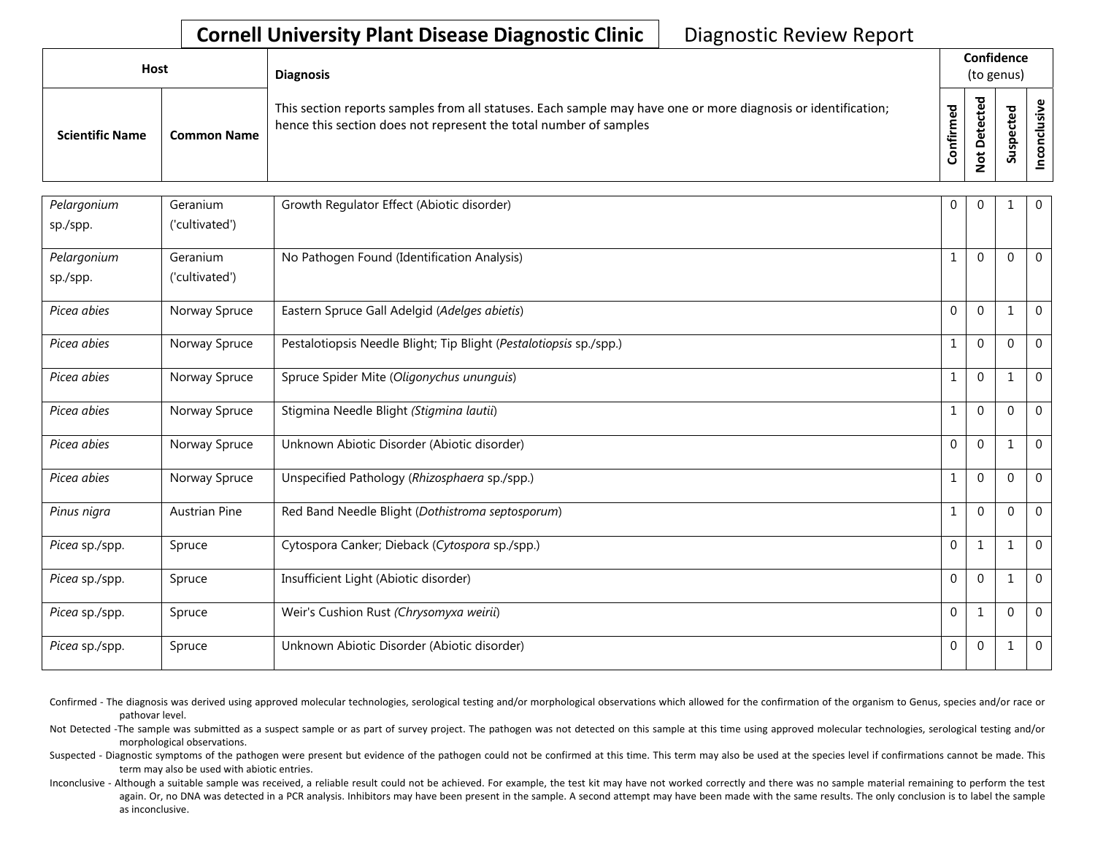| <b>Host</b>            |                    | <b>Diagnosis</b>                                                                                                                                                                   |          |                             | Confidence<br>(to genus) |  |
|------------------------|--------------------|------------------------------------------------------------------------------------------------------------------------------------------------------------------------------------|----------|-----------------------------|--------------------------|--|
| <b>Scientific Name</b> | <b>Common Name</b> | This section reports samples from all statuses. Each sample may have one or more diagnosis or identification;<br>hence this section does not represent the total number of samples | onfirmed | ठ<br>پ<br>پ<br>$\circ$<br>– | ъ<br>ဒ္ဓ<br>వె           |  |

| Pelargonium    | Geranium<br>('cultivated') | Growth Regulator Effect (Abiotic disorder)                         | $\overline{0}$ | $\Omega$     |             | $\mathbf 0$ |
|----------------|----------------------------|--------------------------------------------------------------------|----------------|--------------|-------------|-------------|
| sp./spp.       |                            |                                                                    |                |              |             |             |
| Pelargonium    | Geranium                   | No Pathogen Found (Identification Analysis)                        | $\mathbf{1}$   | $\Omega$     | $\Omega$    | $\mathbf 0$ |
| sp./spp.       | ('cultivated')             |                                                                    |                |              |             |             |
| Picea abies    | Norway Spruce              | Eastern Spruce Gall Adelgid (Adelges abietis)                      | $\Omega$       | $\Omega$     | 1           | $\mathbf 0$ |
| Picea abies    | Norway Spruce              | Pestalotiopsis Needle Blight; Tip Blight (Pestalotiopsis sp./spp.) | 1              | $\Omega$     | $\mathbf 0$ | $\mathbf 0$ |
| Picea abies    | Norway Spruce              | Spruce Spider Mite (Oligonychus ununguis)                          | $\mathbf 1$    | $\Omega$     |             | $\mathbf 0$ |
| Picea abies    | Norway Spruce              | Stigmina Needle Blight (Stigmina lautii)                           | $\mathbf{1}$   | $\Omega$     | $\theta$    | $\Omega$    |
| Picea abies    | Norway Spruce              | Unknown Abiotic Disorder (Abiotic disorder)                        | $\Omega$       | $\Omega$     | 1           | $\mathbf 0$ |
| Picea abies    | Norway Spruce              | Unspecified Pathology (Rhizosphaera sp./spp.)                      | 1              | $\Omega$     | $\mathbf 0$ | $\mathbf 0$ |
| Pinus nigra    | <b>Austrian Pine</b>       | Red Band Needle Blight (Dothistroma septosporum)                   | 1              | $\Omega$     | $\Omega$    | $\mathbf 0$ |
| Picea sp./spp. | Spruce                     | Cytospora Canker; Dieback (Cytospora sp./spp.)                     | $\Omega$       | $\mathbf{1}$ | 1           | $\mathbf 0$ |
| Picea sp./spp. | Spruce                     | Insufficient Light (Abiotic disorder)                              | $\Omega$       | $\Omega$     |             | $\mathbf 0$ |
| Picea sp./spp. | Spruce                     | Weir's Cushion Rust (Chrysomyxa weirii)                            | $\Omega$       | $\mathbf{1}$ | $\mathbf 0$ | $\mathbf 0$ |
| Picea sp./spp. | Spruce                     | Unknown Abiotic Disorder (Abiotic disorder)                        | 0              | $\mathbf{0}$ |             | $\mathbf 0$ |

Confirmed - The diagnosis was derived using approved molecular technologies, serological testing and/or morphological observations which allowed for the confirmation of the organism to Genus, species and/or race or pathovar level.

Not Detected -The sample was submitted as a suspect sample or as part of survey project. The pathogen was not detected on this sample at this time using approved molecular technologies, serological testing and/or morphological observations.

Suspected - Diagnostic symptoms of the pathogen were present but evidence of the pathogen could not be confirmed at this time. This term may also be used at the species level if confirmations cannot be made. This term may also be used with abiotic entries.